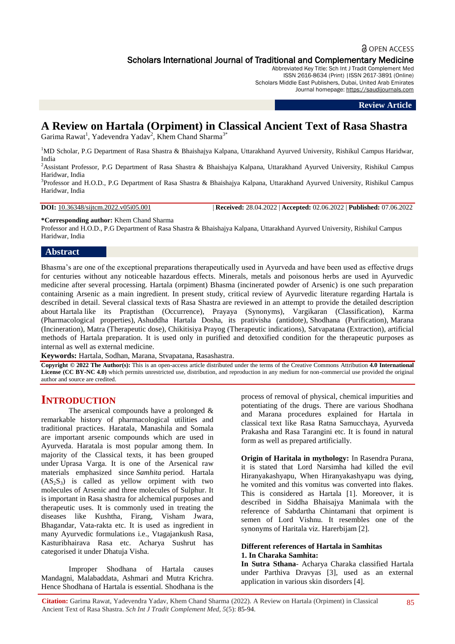# **a** OPEN ACCESS Scholars International Journal of Traditional and Complementary Medicine

Abbreviated Key Title: Sch Int J Tradit Complement Med ISSN 2616-8634 (Print) |ISSN 2617-3891 (Online)

Scholars Middle East Publishers, Dubai, United Arab Emirates Journal homepage: [https://saudijournals.com](https://saudijournals.com/sijtcm)

#### **Review Article**

# **A Review on Hartala (Orpiment) in Classical Ancient Text of Rasa Shastra**

Garima Rawat<sup>1</sup>, Yadevendra Yadav<sup>2</sup>, Khem Chand Sharma<sup>3\*</sup>

<sup>1</sup>MD Scholar, P.G Department of Rasa Shastra & Bhaishajya Kalpana, Uttarakhand Ayurved University, Rishikul Campus Haridwar, India

<sup>2</sup>Assistant Professor, P.G Department of Rasa Shastra & Bhaishajya Kalpana, Uttarakhand Ayurved University, Rishikul Campus Haridwar, India

<sup>3</sup>Professor and H.O.D., P.G Department of Rasa Shastra & Bhaishajya Kalpana, Uttarakhand Ayurved University, Rishikul Campus Haridwar, India

**DOI:** 10.36348/sijtcm.2022.v05i05.001 | **Received:** 28.04.2022 | **Accepted:** 02.06.2022 | **Published:** 07.06.2022

**\*Corresponding author:** Khem Chand Sharma

Professor and H.O.D., P.G Department of Rasa Shastra & Bhaishajya Kalpana, Uttarakhand Ayurved University, Rishikul Campus Haridwar, India

# **Abstract**

Bhasma"s are one of the exceptional preparations therapeutically used in Ayurveda and have been used as effective drugs for centuries without any noticeable hazardous effects. Minerals, metals and poisonous herbs are used in Ayurvedic medicine after several processing. Hartala (orpiment) Bhasma (incinerated powder of Arsenic) is one such preparation containing Arsenic as a main ingredient. In present study, critical review of Ayurvedic literature regarding Hartala is described in detail. Several classical texts of Rasa Shastra are reviewed in an attempt to provide the detailed description about Hartala like its Praptisthan (Occurrence), Prayaya (Synonyms), Vargikaran (Classification), Karma (Pharmacological properties), Ashuddha Hartala Dosha, its prativisha (antidote), Shodhana (Purification), Marana (Incineration), Matra (Therapeutic dose), Chikitisiya Prayog (Therapeutic indications), Satvapatana (Extraction), artificial methods of Hartala preparation. It is used only in purified and detoxified condition for the therapeutic purposes as internal as well as external medicine.

**Keywords:** Hartala, Sodhan, Marana, Stvapatana, Rasashastra.

**Copyright © 2022 The Author(s):** This is an open-access article distributed under the terms of the Creative Commons Attribution **4.0 International License (CC BY-NC 4.0)** which permits unrestricted use, distribution, and reproduction in any medium for non-commercial use provided the original author and source are credited.

# **INTRODUCTION**

The arsenical compounds have a prolonged & remarkable history of pharmacological utilities and traditional practices. Haratala, Manashila and Somala are important arsenic compounds which are used in Ayurveda. Haratala is most popular among them. In majority of the Classical texts, it has been grouped under Uprasa Varga. It is one of the Arsenical raw materials emphasized since *Samhita* period. Hartala  $(AS_2S_3)$  is called as yellow orpiment with two molecules of Arsenic and three molecules of Sulphur. It is important in Rasa shastra for alchemical purposes and therapeutic uses. It is commonly used in treating the diseases like Kushtha, Firang, Visham Jwara, Bhagandar, Vata-rakta etc. It is used as ingredient in many Ayurvedic formulations i.e., Vtagajankush Rasa, Kasturibhairava Rasa etc. Acharya Sushrut has categorised it under Dhatuja Visha.

Improper Shodhana of Hartala causes Mandagni, Malabaddata, Ashmari and Mutra Krichra. Hence Shodhana of Hartala is essential. Shodhana is the process of removal of physical, chemical impurities and potentiating of the drugs. There are various Shodhana and Marana procedures explained for Hartala in classical text like Rasa Ratna Samucchaya, Ayurveda Prakasha and Rasa Tarangini etc. It is found in natural form as well as prepared artificially.

**Origin of Haritala in mythology:** In Rasendra Purana, it is stated that Lord Narsimha had killed the evil Hiranyakashyapu, When Hiranyakashyapu was dying, he vomited and this vomitus was converted into flakes. This is considered as Hartala [1]. Moreover, it is described in Siddha Bhaisajya Manimala with the reference of Sabdartha Chintamani that orpiment is semen of Lord Vishnu. It resembles one of the synonyms of Haritala viz. Harerbijam [2].

#### **Different references of Hartala in Samhitas 1. In Charaka Samhita:**

**In Sutra Sthana**- Acharya Charaka classified Hartala under Parthiva Dravyas [3], used as an external application in various skin disorders [4].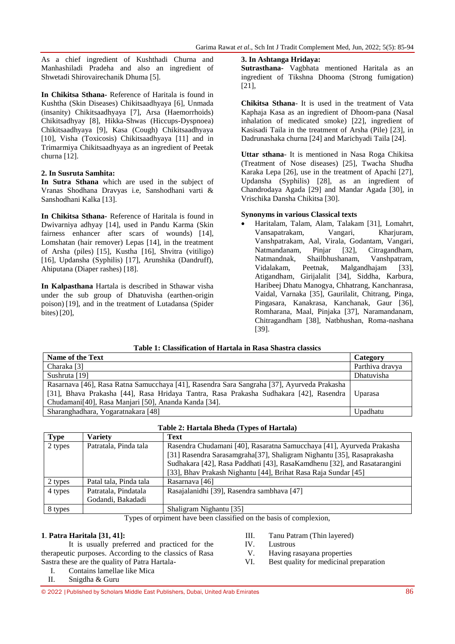As a chief ingredient of Kushthadi Churna and Manhashiladi Pradeha and also an ingredient of Shwetadi Shirovairechanik Dhuma [5].

**In Chikitsa Sthana-** Reference of Haritala is found in Kushtha (Skin Diseases) Chikitsaadhyaya [6], Unmada (insanity) Chikitsaadhyaya [7], Arsa (Haemorrhoids) Chikitsadhyay [8], Hikka-Shwas (Hiccups-Dyspnoea) Chikitsaadhyaya [9], Kasa (Cough) Chikitsaadhyaya [10], Visha (Toxicosis) Chikitsaadhyaya [11] and in Trimarmiya Chikitsaadhyaya as an ingredient of Peetak churna [12].

# **2. In Susruta Samhita:**

**In Sutra Sthana** which are used in the subject of Vranas Shodhana Dravyas i.e, Sanshodhani varti & Sanshodhani Kalka [13].

**In Chikitsa Sthana-** Reference of Haritala is found in Dwivarniya adhyay [14], used in Pandu Karma (Skin fairness enhancer after scars of wounds) [14], Lomshatan (hair remover) Lepas [14], in the treatment of Arsha (piles) [15], Kustha [16], Shvitra (vitiligo) [16], Updansha (Syphilis) [17], Arunshika (Dandruff), Ahiputana (Diaper rashes) [18].

**In Kalpasthana** Hartala is described in Sthawar visha under the sub group of Dhatuvisha (earthen-origin poison) [19], and in the treatment of Lutadansa (Spider bites) [20],

#### **3. In Ashtanga Hridaya:**

**Sutrasthana-** Vagbhata mentioned Haritala as an ingredient of Tikshna Dhooma (Strong fumigation) [21],

**Chikitsa Sthana**- It is used in the treatment of Vata Kaphaja Kasa as an ingredient of Dhoom-pana (Nasal inhalation of medicated smoke) [22], ingredient of Kasisadi Taila in the treatment of Arsha (Pile) [23], in Dadrunashaka churna [24] and Marichyadi Taila [24].

**Uttar sthana**- It is mentioned in Nasa Roga Chikitsa (Treatment of Nose diseases) [25], Twacha Shudha Karaka Lepa [26], use in the treatment of Apachi [27], Updansha (Syphilis) [28], as an ingredient of Chandrodaya Agada [29] and Mandar Agada [30], in Vrischika Dansha Chikitsa [30].

#### **Synonyms in various Classical texts**

 Haritalam, Talam, Alam, Talakam [31], Lomahrt, Vansapatrakam, Vangari, Kharjuram, Vanshpatrakam, Aal, Virala, Godantam, Vangari, Natmandanam, Pinjar [32], Citragandham, Natmandnak, Shailbhushanam, Vanshpatram, Vidalakam, Peetnak, Malgandhajam [33], Atigandham, Girijalalit [34], Siddha, Karbura, Haribeej Dhatu Manogya, Chhatrang, Kanchanrasa, Vaidal, Varnaka [35], Gaurilalit, Chitrang, Pinga, Pingasara, Kanakrasa, Kanchanak, Gaur [36], Romharana, Maal, Pinjaka [37], Naramandanam, Chitragandham [38], Natbhushan, Roma-nashana [39].

# **Table 1: Classification of Hartala in Rasa Shastra classics**

| Name of the Text                                                                           | Category          |
|--------------------------------------------------------------------------------------------|-------------------|
| Charaka [3]                                                                                | Parthiva dravya   |
| Sushruta [19]                                                                              | <b>Dhatuvisha</b> |
| Rasarnava [46], Rasa Ratna Samucchaya [41], Rasendra Sara Sangraha [37], Ayurveda Prakasha |                   |
| [31], Bhava Prakasha [44], Rasa Hridaya Tantra, Rasa Prakasha Sudhakara [42], Rasendra     | Uparasa           |
| Chudamani <sup>[40]</sup> , Rasa Manjari [50], Ananda Kanda [34].                          |                   |
| Sharanghadhara, Yogaratnakara [48]                                                         | Upadhatu          |

| Table 2: Hartala Bheda (Types of Hartala) |  |
|-------------------------------------------|--|
|                                           |  |

| <b>Type</b> | <b>Variety</b>         | <b>Text</b>                                                              |  |
|-------------|------------------------|--------------------------------------------------------------------------|--|
| 2 types     | Patratala, Pinda tala  | Rasendra Chudamani [40], Rasaratna Samucchaya [41], Ayurveda Prakasha    |  |
|             |                        | [31] Rasendra Sarasamgraha[37], Shaligram Nighantu [35], Rasaprakasha    |  |
|             |                        | Sudhakara [42], Rasa Paddhati [43], RasaKamdhenu [32], and Rasatarangini |  |
|             |                        | [33], Bhav Prakash Nighantu [44], Brihat Rasa Raja Sundar [45]           |  |
| 2 types     | Patal tala, Pinda tala | Rasarnava [46]                                                           |  |
| 4 types     | Patratala, Pindatala   | Rasajalanidhi [39], Rasendra sambhava [47]                               |  |
|             | Godandi, Bakadadi      |                                                                          |  |
| 8 types     |                        | Shaligram Nighantu [35]                                                  |  |

Types of orpiment have been classified on the basis of complexion,

# **1**. **Patra Haritala [31, 41]:**

- It is usually preferred and practiced for the therapeutic purposes. According to the classics of Rasa Sastra these are the quality of Patra Hartala-
	- I. Contains lamellae like Mica

#### II. Snigdha & Guru

- III. Tanu Patram (Thin layered) IV. Lustrous
- V. Having rasayana properties
- VI. Best quality for medicinal preparation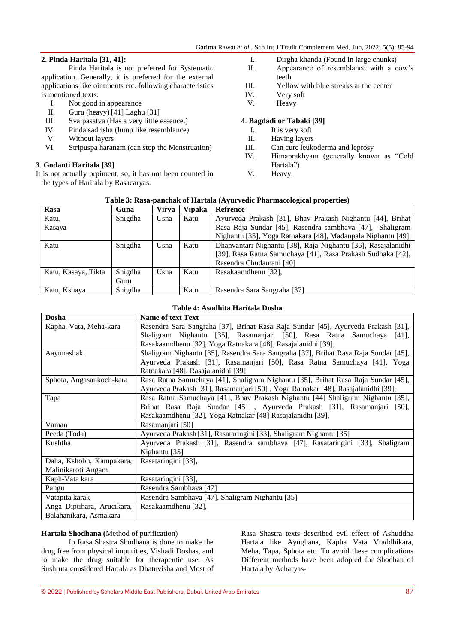#### **2**. **Pinda Haritala [31, 41]:**

Pinda Haritala is not preferred for Systematic application. Generally, it is preferred for the external applications like ointments etc. following characteristics is mentioned texts:

- I. Not good in appearance
- II. Guru (heavy) [41] Laghu [31]
- III. Svalpasatva (Has a very little essence.)<br>IV. Pinda sadrisha (lump like resemblance)
- Pinda sadrisha (lump like resemblance)
- V. Without layers<br>VI. Stripuspa haran
- Stripuspa haranam (can stop the Menstruation)

# **3**. **Godanti Haritala [39]**

It is not actually orpiment, so, it has not been counted in the types of Haritala by Rasacaryas.

I. Dirgha khanda (Found in large chunks)

- II. Appearance of resemblance with a cow"s teeth
- III. Yellow with blue streaks at the center
- IV. Very soft
- V. Heavy

#### **4**. **Bagdadi or Tabaki [39]**

- I. It is very soft<br>II. Having layers
- II. Having layers<br>III. Can cure leuke
- Can cure leukoderma and leprosy
- IV. Himaprakhyam (generally known as "Cold Hartala")
- V. Heavy.

#### **Table 3: Rasa-panchak of Hartala (Ayurvedic Pharmacological properties)**

| Rasa                | Guna    | <b>Virya</b> | <b>Vipaka</b> | <b>Refrence</b>                                              |
|---------------------|---------|--------------|---------------|--------------------------------------------------------------|
| Katu,               | Snigdha | Usna         | Katu          | Ayurveda Prakash [31], Bhav Prakash Nighantu [44], Brihat    |
| Kasaya              |         |              |               | Rasa Raja Sundar [45], Rasendra sambhava [47], Shaligram     |
|                     |         |              |               | Nighantu [35], Yoga Ratnakara [48], Madanpala Nighantu [49]  |
| Katu                | Snigdha | Usna         | Katu          | Dhanvantari Nighantu [38], Raja Nighantu [36], Rasajalanidhi |
|                     |         |              |               | [39], Rasa Ratna Samuchaya [41], Rasa Prakash Sudhaka [42],  |
|                     |         |              |               | Rasendra Chudamani [40]                                      |
| Katu, Kasaya, Tikta | Snigdha | Usna         | Katu          | Rasakaamdhenu [32],                                          |
|                     | Guru    |              |               |                                                              |
| Katu, Kshaya        | Snigdha |              | Katu          | Rasendra Sara Sangraha [37]                                  |

#### **Table 4: Asodhita Haritala Dosha**

| Dosha                      | <b>Name of text Text</b>                                                            |  |  |
|----------------------------|-------------------------------------------------------------------------------------|--|--|
| Kapha, Vata, Meha-kara     | Rasendra Sara Sangraha [37], Brihat Rasa Raja Sundar [45], Ayurveda Prakash [31],   |  |  |
|                            | Shaligram Nighantu [35], Rasamanjari [50], Rasa Ratna Samuchaya<br>[41]             |  |  |
|                            | Rasakaamdhenu [32], Yoga Ratnakara [48], Rasajalanidhi [39],                        |  |  |
| Aayunashak                 | Shaligram Nighantu [35], Rasendra Sara Sangraha [37], Brihat Rasa Raja Sundar [45], |  |  |
|                            | Ayurveda Prakash [31], Rasamanjari [50], Rasa Ratna Samuchaya [41], Yoga            |  |  |
|                            | Ratnakara [48], Rasajalanidhi [39]                                                  |  |  |
| Sphota, Angasankoch-kara   | Rasa Ratna Samuchaya [41], Shaligram Nighantu [35], Brihat Rasa Raja Sundar [45],   |  |  |
|                            | Ayurveda Prakash [31], Rasamanjari [50], Yoga Ratnakar [48], Rasajalanidhi [39],    |  |  |
| Tapa                       | Rasa Ratna Samuchaya [41], Bhav Prakash Nighantu [44] Shaligram Nighantu [35],      |  |  |
|                            | Brihat Rasa Raja Sundar [45], Ayurveda Prakash [31], Rasamanjari [50],              |  |  |
|                            | Rasakaamdhenu [32], Yoga Ratnakar [48] Rasajalanidhi [39],                          |  |  |
| Vaman                      | Rasamanjari [50]                                                                    |  |  |
| Peeda (Toda)               | Ayurveda Prakash [31], Rasataringini [33], Shaligram Nighantu [35]                  |  |  |
| Kushtha                    | Ayurveda Prakash [31], Rasendra sambhava [47], Rasataringini [33], Shaligram        |  |  |
|                            | Nighantu [35]                                                                       |  |  |
| Daha, Kshobh, Kampakara,   | Rasataringini [33],                                                                 |  |  |
| Malinikaroti Angam         |                                                                                     |  |  |
| Kaph-Vata kara             | Rasataringini [33],                                                                 |  |  |
| Pangu                      | Rasendra Sambhava [47]                                                              |  |  |
| Vatapita karak             | Rasendra Sambhava [47], Shaligram Nighantu [35]                                     |  |  |
| Anga Diptihara, Arucikara, | Rasakaamdhenu [32],                                                                 |  |  |
| Balahanikara, Asmakara     |                                                                                     |  |  |

#### **Hartala Shodhana (**Method of purification)

In Rasa Shastra Shodhana is done to make the drug free from physical impurities, Vishadi Doshas, and to make the drug suitable for therapeutic use. As Sushruta considered Hartala as Dhatuvisha and Most of

Rasa Shastra texts described evil effect of Ashuddha Hartala like Ayughana, Kapha Vata Vraddhikara, Meha, Tapa, Sphota etc. To avoid these complications Different methods have been adopted for Shodhan of Hartala by Acharyas-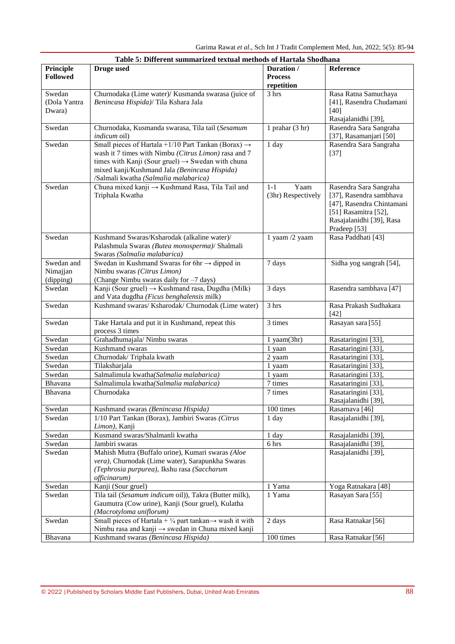| Table 5: Different summarized textual methods of Hartala Shodhana |                                                                                                                                                                                                                                                                                    |                                            |                                                                                                                                                    |  |  |
|-------------------------------------------------------------------|------------------------------------------------------------------------------------------------------------------------------------------------------------------------------------------------------------------------------------------------------------------------------------|--------------------------------------------|----------------------------------------------------------------------------------------------------------------------------------------------------|--|--|
| Principle<br><b>Followed</b>                                      | <b>Druge used</b>                                                                                                                                                                                                                                                                  | Duration /<br><b>Process</b><br>repetition | Reference                                                                                                                                          |  |  |
| Swedan<br>(Dola Yantra<br>Dwara)                                  | Churnodaka (Lime water)/ Kusmanda swarasa (juice of<br>Benincasa Hispida)/ Tila Kshara Jala                                                                                                                                                                                        | 3 hrs                                      | Rasa Ratna Samuchaya<br>[41], Rasendra Chudamani<br>$[40]$<br>Rasajalanidhi [39],                                                                  |  |  |
| Swedan                                                            | Churnodaka, Kusmanda swarasa, Tila tail (Sesamum<br><i>indicum</i> oil)                                                                                                                                                                                                            | 1 prahar $(3 hr)$                          | Rasendra Sara Sangraha<br>[37], Rasamanjari [50]                                                                                                   |  |  |
| Swedan                                                            | Small pieces of Hartala +1/10 Part Tankan (Borax) $\rightarrow$<br>wash it 7 times with Nimbu (Citrus Limon) rasa and 7<br>times with Kanji (Sour gruel) $\rightarrow$ Swedan with chuna<br>mixed kanji/Kushmand Jala (Benincasa Hispida)<br>/Salmali kwatha (Salmalia malabarica) | 1 day                                      | Rasendra Sara Sangraha<br>$[37]$                                                                                                                   |  |  |
| Swedan                                                            | Chuna mixed kanji → Kushmand Rasa, Tila Tail and<br>Triphala Kwatha                                                                                                                                                                                                                | Yaam<br>$1-1$<br>(3hr) Respectively        | Rasendra Sara Sangraha<br>[37], Rasendra sambhava<br>[47], Rasendra Chintamani<br>[51] Rasamitra [52],<br>Rasajalanidhi [39], Rasa<br>Pradeep [53] |  |  |
| Swedan                                                            | Kushmand Swaras/Ksharodak (alkaline water)/<br>Palashmula Swaras (Butea monosperma)/ Shalmali<br>Swaras (Salmalia malabarica)                                                                                                                                                      | 1 yaam /2 yaam                             | Rasa Paddhati [43]                                                                                                                                 |  |  |
| Swedan and<br>Nimajjan<br>(dipping)                               | Swedan in Kushmand Swaras for 6hr $\rightarrow$ dipped in<br>Nimbu swaras (Citrus Limon)<br>(Change Nimbu swaras daily for -7 days)                                                                                                                                                | 7 days                                     | Sidha yog sangrah [54],                                                                                                                            |  |  |
| Swedan                                                            | Kanji (Sour gruel) → Kushmand rasa, Dugdha (Milk)<br>and Vata dugdha (Ficus benghalensis milk)                                                                                                                                                                                     | 3 days                                     | Rasendra sambhava [47]                                                                                                                             |  |  |
| Swedan                                                            | Kushmand swaras/ Ksharodak/ Churnodak (Lime water)                                                                                                                                                                                                                                 | 3 hrs                                      | Rasa Prakash Sudhakara<br>$[42]$                                                                                                                   |  |  |
| Swedan                                                            | Take Hartala and put it in Kushmand, repeat this<br>process 3 times                                                                                                                                                                                                                | 3 times                                    | Rasayan sara [55]                                                                                                                                  |  |  |
| Swedan                                                            | Grahadhumajala/ Nimbu swaras                                                                                                                                                                                                                                                       | 1 yaam(3hr)                                | Rasataringini [33],                                                                                                                                |  |  |
| Swedan                                                            | Kushmand swaras                                                                                                                                                                                                                                                                    | 1 yaan                                     | Rasataringini [33],                                                                                                                                |  |  |
| Swedan                                                            | Churnodak/Triphala kwath                                                                                                                                                                                                                                                           | 2 yaam                                     | Rasataringini [33],                                                                                                                                |  |  |
| Swedan                                                            | Tilaksharjala                                                                                                                                                                                                                                                                      | 1 yaam                                     | Rasataringini [33],                                                                                                                                |  |  |
| Swedan                                                            | Salmalimula kwatha(Salmalia malabarica)                                                                                                                                                                                                                                            | 1 yaam                                     | Rasataringini [33],                                                                                                                                |  |  |
| Bhavana                                                           | Salmalimula kwatha(Salmalia malabarica)                                                                                                                                                                                                                                            | 7 times                                    | Rasataringini [33],                                                                                                                                |  |  |
| Bhavana                                                           | Churnodaka                                                                                                                                                                                                                                                                         | 7 times                                    | Rasataringini [33],<br>Rasajalanidhi [39],                                                                                                         |  |  |
| Swedan                                                            | Kushmand swaras (Benincasa Hispida)                                                                                                                                                                                                                                                | 100 times                                  | Rasarnava [46]                                                                                                                                     |  |  |
| Swedan                                                            | 1/10 Part Tankan (Borax), Jambiri Swaras (Citrus<br>Limon), Kanji                                                                                                                                                                                                                  | 1 day                                      | Rasajalanidhi [39],                                                                                                                                |  |  |
| Swedan                                                            | Kusmand swaras/Shalmanli kwatha                                                                                                                                                                                                                                                    | 1 day                                      | Rasajalanidhi [39],                                                                                                                                |  |  |
| Swedan                                                            | Jambiri swaras                                                                                                                                                                                                                                                                     | 6 hrs                                      | Rasajalanidhi [39],                                                                                                                                |  |  |
| Swedan                                                            | Mahish Mutra (Buffalo urine), Kumari swaras (Aloe<br>vera), Churnodak (Lime water), Sarapunkha Swaras<br>(Tephrosia purpurea), Ikshu rasa (Saccharum<br>officinarum)                                                                                                               |                                            | Rasajalanidhi [39],                                                                                                                                |  |  |
| Swedan                                                            | Kanji (Sour gruel)                                                                                                                                                                                                                                                                 | 1 Yama                                     | Yoga Ratnakara [48]                                                                                                                                |  |  |
| Swedan                                                            | Tila tail (Sesamum indicum oil)), Takra (Butter milk),<br>Gaumutra (Cow urine), Kanji (Sour gruel), Kulatha<br>(Macrotyloma uniflorum)                                                                                                                                             | 1 Yama                                     | Rasayan Sara [55]                                                                                                                                  |  |  |
| Swedan                                                            | Small pieces of Hartala + $\frac{1}{4}$ part tankan $\rightarrow$ wash it with<br>Nimbu rasa and kanji $\rightarrow$ swedan in Chuna mixed kanji                                                                                                                                   | 2 days                                     | Rasa Ratnakar <sup>[56]</sup>                                                                                                                      |  |  |
| Bhavana                                                           | Kushmand swaras (Benincasa Hispida)                                                                                                                                                                                                                                                | 100 times                                  | Rasa Ratnakar <sup>[56]</sup>                                                                                                                      |  |  |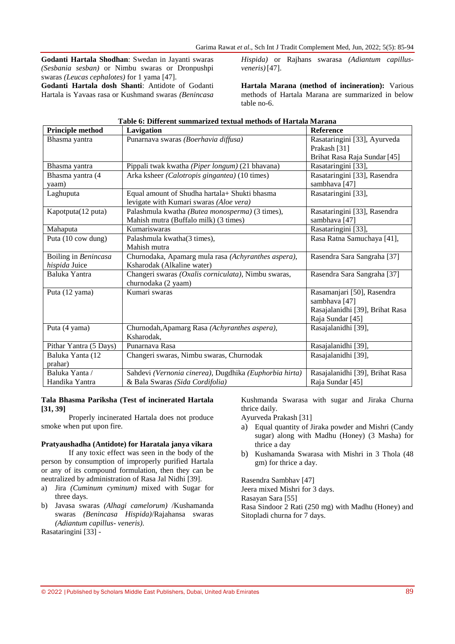**Godanti Hartala Shodhan**: Swedan in Jayanti swaras *(Sesbania sesban)* or Nimbu swaras or Dronpushpi swaras *(Leucas cephalotes)* for 1 yama [47]. **Godanti Hartala dosh Shanti**: Antidote of Godanti

Hartala is Yavaas rasa or Kushmand swaras *(Benincasa* 

*Hispida)* or Rajhans swarasa *(Adiantum capillusveneris)*[47].

**Hartala Marana (method of incineration):** Various methods of Hartala Marana are summarized in below table no-6.

| <b>Principle method</b> | Lavigation                                             | <b>Reference</b>                |
|-------------------------|--------------------------------------------------------|---------------------------------|
| Bhasma yantra           | Punarnava swaras (Boerhavia diffusa)                   | Rasataringini [33], Ayurveda    |
|                         |                                                        | Prakash [31]                    |
|                         |                                                        | Brihat Rasa Raja Sundar [45]    |
| Bhasma yantra           | Pippali twak kwatha (Piper longum) (21 bhavana)        | Rasataringini [33],             |
| Bhasma yantra (4        | Arka ksheer (Calotropis gingantea) (10 times)          | Rasataringini [33], Rasendra    |
| yaam)                   |                                                        | sambhava <sup>[47]</sup>        |
| Laghuputa               | Equal amount of Shudha hartala+ Shukti bhasma          | Rasataringini [33],             |
|                         | levigate with Kumari swaras (Aloe vera)                |                                 |
| Kapotputa(12 puta)      | Palashmula kwatha (Butea monosperma) (3 times),        | Rasataringini [33], Rasendra    |
|                         | Mahish mutra (Buffalo milk) (3 times)                  | sambhava [47]                   |
| Mahaputa                | Kumariswaras                                           | Rasataringini [33],             |
| Puta (10 cow dung)      | Palashmula kwatha(3 times),                            | Rasa Ratna Samuchaya [41],      |
|                         | Mahish mutra                                           |                                 |
| Boiling in Benincasa    | Churnodaka, Apamarg mula rasa (Achyranthes aspera),    | Rasendra Sara Sangraha [37]     |
| hispida Juice           | Ksharodak (Alkaline water)                             |                                 |
| Baluka Yantra           | Changeri swaras (Oxalis corniculata), Nimbu swaras,    | Rasendra Sara Sangraha [37]     |
|                         | churnodaka (2 yaam)                                    |                                 |
| Puta (12 yama)          | Kumari swaras                                          | Rasamanjari [50], Rasendra      |
|                         |                                                        | sambhava [47]                   |
|                         |                                                        | Rasajalanidhi [39], Brihat Rasa |
|                         |                                                        | Raja Sundar [45]                |
| Puta (4 yama)           | Churnodah, Apamarg Rasa (Achyranthes aspera),          | Rasajalanidhi [39],             |
|                         | Ksharodak,                                             |                                 |
| Pithar Yantra (5 Days)  | Punarnava Rasa                                         | Rasajalanidhi [39],             |
| Baluka Yanta (12        | Changeri swaras, Nimbu swaras, Churnodak               | Rasajalanidhi [39],             |
| prahar)                 |                                                        |                                 |
| Baluka Yanta /          | Sahdevi (Vernonia cinerea), Dugdhika (Euphorbia hirta) | Rasajalanidhi [39], Brihat Rasa |
| Handika Yantra          | & Bala Swaras (Sida Cordifolia)                        | Raja Sundar [45]                |

#### **Table 6: Different summarized textual methods of Hartala Marana**

#### **Tala Bhasma Pariksha (Test of incinerated Hartala [31, 39]**

Properly incinerated Hartala does not produce smoke when put upon fire.

#### **Pratyaushadha (Antidote) for Haratala janya vikara**

If any toxic effect was seen in the body of the person by consumption of improperly purified Hartala or any of its compound formulation, then they can be neutralized by administration of Rasa Jal Nidhi [39].

- a) Jira *(Cuminum cyminum)* mixed with Sugar for three days.
- b) Javasa swaras *(Alhagi camelorum)* /Kushamanda swaras *(Benincasa Hispida)*/Rajahansa swaras *(Adiantum capillus- veneris)*.

Rasataringini [33] -

Kushmanda Swarasa with sugar and Jiraka Churna thrice daily.

- Ayurveda Prakash [31]
- a) Equal quantity of Jiraka powder and Mishri (Candy sugar) along with Madhu (Honey) (3 Masha) for thrice a day
- b) Kushamanda Swarasa with Mishri in 3 Thola (48 gm) for thrice a day.

Rasendra Sambhav [47] Jeera mixed Mishri for 3 days. Rasayan Sara [55] Rasa Sindoor 2 Rati (250 mg) with Madhu (Honey) and Sitopladi churna for 7 days.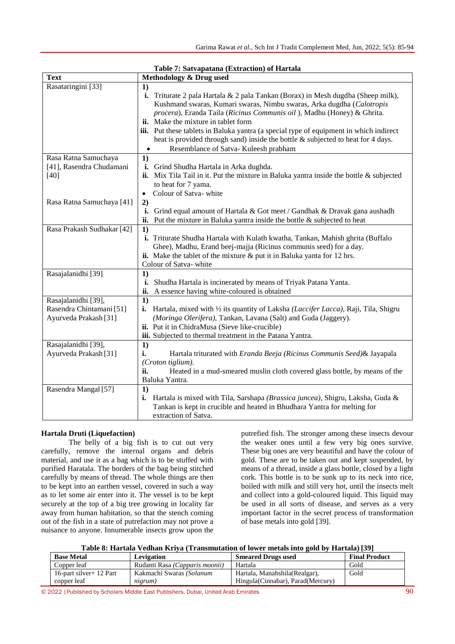| Table 7. Satvapatana (Extraction) of Hartala |                                                                                                  |  |  |  |
|----------------------------------------------|--------------------------------------------------------------------------------------------------|--|--|--|
| <b>Text</b>                                  | Methodology & Drug used                                                                          |  |  |  |
| Rasataringini [33]                           | 1)                                                                                               |  |  |  |
|                                              | Triturate 2 pala Hartala & 2 pala Tankan (Borax) in Mesh dugdha (Sheep milk),<br>i.              |  |  |  |
|                                              | Kushmand swaras, Kumari swaras, Nimbu swaras, Arka dugdha (Calotropis                            |  |  |  |
|                                              | procera), Eranda Taila (Ricinus Communis oil), Madhu (Honey) & Ghrita.                           |  |  |  |
|                                              | ii. Make the mixture in tablet form                                                              |  |  |  |
|                                              | iii. Put these tablets in Baluka yantra (a special type of equipment in which indirect           |  |  |  |
|                                              | heat is provided through sand) inside the bottle $\&$ subjected to heat for 4 days.              |  |  |  |
|                                              | Resemblance of Satva-Kuleesh prabham<br>$\bullet$                                                |  |  |  |
| Rasa Ratna Samuchaya                         | 1)                                                                                               |  |  |  |
| [41], Rasendra Chudamani                     | i. Grind Shudha Hartala in Arka dughda.                                                          |  |  |  |
| $[40]$                                       | ii. Mix Tila Tail in it. Put the mixture in Baluka yantra inside the bottle $\&$ subjected       |  |  |  |
|                                              | to heat for 7 yama.                                                                              |  |  |  |
|                                              | Colour of Satva-white<br>$\bullet$                                                               |  |  |  |
| Rasa Ratna Samuchaya [41]                    | 2)                                                                                               |  |  |  |
|                                              | Grind equal amount of Hartala & Got meet / Gandhak & Dravak gana aushadh<br>i.                   |  |  |  |
|                                              | Put the mixture in Baluka yantra inside the bottle $\&$ subjected to heat<br>ii.                 |  |  |  |
| Rasa Prakash Sudhakar [42]                   | 1)                                                                                               |  |  |  |
|                                              | i. Triturate Shudha Hartala with Kulath kwatha, Tankan, Mahish ghrita (Buffalo                   |  |  |  |
|                                              | Ghee), Madhu, Erand beej-majja (Ricinus communis seed) for a day.                                |  |  |  |
|                                              | ii. Make the tablet of the mixture $\&$ put it in Baluka yanta for 12 hrs.                       |  |  |  |
|                                              | Colour of Satva-white                                                                            |  |  |  |
| Rasajalanidhi [39]                           | 1)                                                                                               |  |  |  |
|                                              | Shudha Hartala is incinerated by means of Triyak Patana Yanta.<br>i.                             |  |  |  |
|                                              | A essence having white-coloured is obtained<br>ii.                                               |  |  |  |
| Rasajalanidhi [39],                          | 1)                                                                                               |  |  |  |
| Rasendra Chintamani [51]                     | Hartala, mixed with 1/2 its quantity of Laksha (Laccifer Lacca), Raji, Tila, Shigru<br>i.        |  |  |  |
| Ayurveda Prakash [31]                        | (Moringa Olerifera), Tankan, Lavana (Salt) and Guda (Jaggery).                                   |  |  |  |
|                                              | ii. Put it in ChidraMusa (Sieve like-crucible)                                                   |  |  |  |
|                                              | iii. Subjected to thermal treatment in the Patana Yantra.                                        |  |  |  |
| Rasajalanidhi [39],                          | 1)                                                                                               |  |  |  |
| Ayurveda Prakash [31]                        | i.<br>Hartala triturated with Eranda Beeja (Ricinus Communis Seed)& Jayapala                     |  |  |  |
|                                              | (Croton tiglium).                                                                                |  |  |  |
|                                              | ii.<br>Heated in a mud-smeared muslin cloth covered glass bottle, by means of the                |  |  |  |
|                                              | Baluka Yantra.                                                                                   |  |  |  |
| Rasendra Mangal [57]                         | 1)                                                                                               |  |  |  |
|                                              | <b>i.</b> Hartala is mixed with Tila, Sarshapa <i>(Brassica juncea)</i> , Shigru, Laksha, Guda & |  |  |  |
|                                              | Tankan is kept in crucible and heated in Bhudhara Yantra for melting for                         |  |  |  |
|                                              | extraction of Satva.                                                                             |  |  |  |
|                                              |                                                                                                  |  |  |  |

#### **Table 7: Satvapatana (Extraction) of Hartala**

#### **Hartala Druti (Liquefaction)**

The belly of a big fish is to cut out very carefully, remove the internal organs and debris material, and use it as a bag which is to be stuffed with purified Haratala. The borders of the bag being stitched carefully by means of thread. The whole things are then to be kept into an earthen vessel, covered in such a way as to let some air enter into it. The vessel is to be kept securely at the top of a big tree growing in locality far away from human habitation, so that the stench coming out of the fish in a state of putrefaction may not prove a nuisance to anyone. Innumerable insects grow upon the

putrefied fish. The stronger among these insects devour the weaker ones until a few very big ones survive. These big ones are very beautiful and have the colour of gold. These are to be taken out and kept suspended, by means of a thread, inside a glass bottle, closed by a light cork. This bottle is to be sunk up to its neck into rice, boiled with milk and still very hot, until the insects melt and collect into a gold-coloured liquid. This liquid may be used in all sorts of disease, and serves as a very important factor in the secret process of transformation of base metals into gold [39].

**Table 8: Hartala Vedhan Kriya (Transmutation of lower metals into gold by Hartala) [39]**

| <b>Base Metal</b>        | Levigation                     | <b>Smeared Drugs used</b>           | <b>Final Product</b> |
|--------------------------|--------------------------------|-------------------------------------|----------------------|
| Copper leaf              | Rudanti Rasa (Capparis moonii) | Hartala                             | Gold                 |
| 16-part silver + 12 Part | Kakmachi Swaras (Solanum       | Hartala, Manahshila (Realgar),      | Gold                 |
| copper leaf              | nigrum)                        | Hingula (Cinnabar), Parad (Mercury) |                      |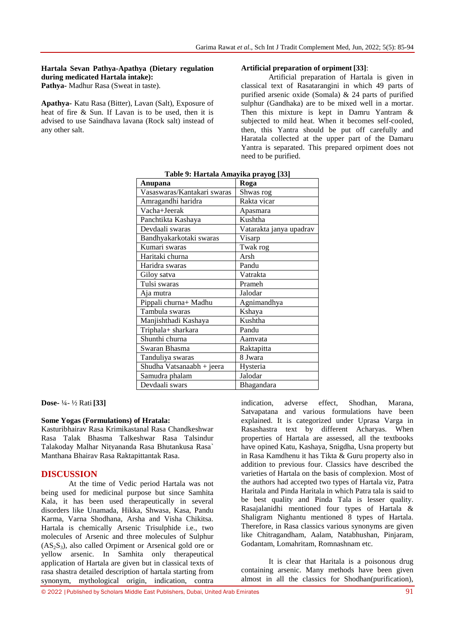#### **Hartala Sevan Pathya-Apathya (Dietary regulation during medicated Hartala intake): Pathya-** Madhur Rasa (Sweat in taste)*.*

**Apathya-** Katu Rasa (Bitter), Lavan (Salt), Exposure of heat of fire & Sun. If Lavan is to be used, then it is advised to use Saindhava lavana (Rock salt) instead of any other salt.

#### **Artificial preparation of orpiment [33]**:

Artificial preparation of Hartala is given in classical text of Rasatarangini in which 49 parts of purified arsenic oxide (Somala) & 24 parts of purified sulphur (Gandhaka) are to be mixed well in a mortar. Then this mixture is kept in Damru Yantram & subjected to mild heat. When it becomes self-cooled, then, this Yantra should be put off carefully and Haratala collected at the upper part of the Damaru Yantra is separated. This prepared orpiment does not need to be purified.

|                             | $\frac{\text{m}}{\text{m}}$ pray $\frac{\text{m}}{\text{s}}$ [cc]<br>Roga |
|-----------------------------|---------------------------------------------------------------------------|
| <b>Anupana</b>              |                                                                           |
| Vasaswaras/Kantakari swaras | Shwas rog                                                                 |
| Amragandhi haridra          | Rakta vicar                                                               |
| Vacha+Jeerak                | Apasmara                                                                  |
| Panchtikta Kashaya          | Kushtha                                                                   |
| Devdaali swaras             | Vatarakta janya upadrav                                                   |
| Bandhyakarkotaki swaras     | Visarp                                                                    |
| Kumari swaras               | Twak rog                                                                  |
| Haritaki churna             | Arsh                                                                      |
| Haridra swaras              | Pandu                                                                     |
| Giloy satva                 | Vatrakta                                                                  |
| Tulsi swaras                | Prameh                                                                    |
| Aja mutra                   | Jalodar                                                                   |
| Pippali churna+ Madhu       | Agnimandhya                                                               |
| Tambula swaras              | Kshaya                                                                    |
| Manjishthadi Kashaya        | Kushtha                                                                   |
| Triphala+ sharkara          | Pandu                                                                     |
| Shunthi churna              | Aamvata                                                                   |
| Swaran Bhasma               | Raktapitta                                                                |
| Tanduliya swaras            | 8 Jwara                                                                   |
| Shudha Vatsanaabh + jeera   | Hysteria                                                                  |
| Samudra phalam              | Jalodar                                                                   |
| Devdaali swars              | Bhagandara                                                                |

**Table 9: Hartala Amayika prayog [33]**

**Dose-** ¼- ½ Rati **[33]**

#### **Some Yogas (Formulations) of Hratala:**

Kasturibhairav Rasa Krimikastanal Rasa Chandkeshwar Rasa Talak Bhasma Talkeshwar Rasa Talsindur Talakoday Malhar Nityananda Rasa Bhutankusa Rasa` Manthana Bhairav Rasa Raktapittantak Rasa.

#### **DISCUSSION**

At the time of Vedic period Hartala was not being used for medicinal purpose but since Samhita Kala, it has been used therapeutically in several disorders like Unamada, Hikka, Shwasa, Kasa, Pandu Karma, Varna Shodhana, Arsha and Visha Chikitsa. Hartala is chemically Arsenic Trisulphide i.e., two molecules of Arsenic and three molecules of Sulphur  $(AS_2S_3)$ , also called Orpiment or Arsenical gold ore or yellow arsenic. In Samhita only therapeutical application of Hartala are given but in classical texts of rasa shastra detailed description of hartala starting from synonym, mythological origin, indication, contra

indication, adverse effect, Shodhan, Marana, Satvapatana and various formulations have been explained. It is categorized under Uprasa Varga in Rasashastra text by different Acharyas. When properties of Hartala are assessed, all the textbooks have opined Katu, Kashaya, Snigdha, Usna property but in Rasa Kamdhenu it has Tikta & Guru property also in addition to previous four. Classics have described the varieties of Hartala on the basis of complexion. Most of the authors had accepted two types of Hartala viz, Patra Haritala and Pinda Haritala in which Patra tala is said to be best quality and Pinda Tala is lesser quality. Rasajalanidhi mentioned four types of Hartala & Shaligram Nighantu mentioned 8 types of Hartala. Therefore, in Rasa classics various synonyms are given like Chitragandham, Aalam, Natabhushan, Pinjaram, Godantam, Lomahritam, Romnashnam etc.

It is clear that Haritala is a poisonous drug containing arsenic. Many methods have been given almost in all the classics for Shodhan(purification),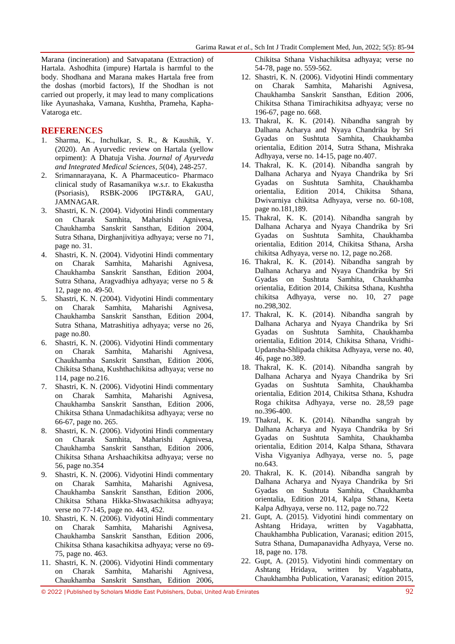Marana (incineration) and Satvapatana (Extraction) of Hartala. Ashodhita (impure) Hartala is harmful to the body. Shodhana and Marana makes Hartala free from the doshas (morbid factors), If the Shodhan is not carried out properly, it may lead to many complications like Ayunashaka, Vamana, Kushtha, Prameha, Kapha-Vataroga etc.

#### **REFERENCES**

- 1. Sharma, K., Inchulkar, S. R., & Kaushik, Y. (2020). An Ayurvedic review on Hartala (yellow orpiment): A Dhatuja Visha. *Journal of Ayurveda and Integrated Medical Sciences*, *5*(04), 248-257.
- 2. Srimannarayana, K. A Pharmaceutico- Pharmaco clinical study of Rasamanikya w.s.r. to Ekakustha (Psoriasis), RSBK-2006 IPGT&RA, GAU, JAMNAGAR.
- 3. Shastri, K. N. (2004). Vidyotini Hindi commentary on Charak Samhita, Maharishi Agnivesa, Chaukhamba Sanskrit Sansthan, Edition 2004, Sutra Sthana, Dirghanjivitiya adhyaya; verse no 71, page no. 31.
- 4. Shastri, K. N. (2004). Vidyotini Hindi commentary on Charak Samhita, Maharishi Agnivesa, Chaukhamba Sanskrit Sansthan, Edition 2004, Sutra Sthana, Aragvadhiya adhyaya; verse no 5 & 12, page no. 49-50.
- 5. Shastri, K. N. (2004). Vidyotini Hindi commentary on Charak Samhita, Maharishi Agnivesa, Chaukhamba Sanskrit Sansthan, Edition 2004, Sutra Sthana, Matrashitiya adhyaya; verse no 26, page no.80.
- 6. Shastri, K. N. (2006). Vidyotini Hindi commentary on Charak Samhita, Maharishi Agnivesa, Chaukhamba Sanskrit Sansthan, Edition 2006, Chikitsa Sthana, Kushthachikitsa adhyaya; verse no 114, page no.216.
- 7. Shastri, K. N. (2006). Vidyotini Hindi commentary on Charak Samhita, Maharishi Agnivesa, Chaukhamba Sanskrit Sansthan, Edition 2006, Chikitsa Sthana Unmadachikitsa adhyaya; verse no 66-67, page no. 265.
- 8. Shastri, K. N. (2006). Vidyotini Hindi commentary on Charak Samhita, Maharishi Agnivesa, Chaukhamba Sanskrit Sansthan, Edition 2006, Chikitsa Sthana Arshaachikitsa adhyaya; verse no 56, page no.354
- 9. Shastri, K. N. (2006). Vidyotini Hindi commentary on Charak Samhita, Maharishi Agnivesa, Chaukhamba Sanskrit Sansthan, Edition 2006, Chikitsa Sthana Hikka-Shwasachikitsa adhyaya; verse no 77-145, page no. 443, 452.
- 10. Shastri, K. N. (2006). Vidyotini Hindi commentary on Charak Samhita, Maharishi Agnivesa, Chaukhamba Sanskrit Sansthan, Edition 2006, Chikitsa Sthana kasachikitsa adhyaya; verse no 69- 75, page no. 463.
- 11. Shastri, K. N. (2006). Vidyotini Hindi commentary on Charak Samhita, Maharishi Agnivesa, Chaukhamba Sanskrit Sansthan, Edition 2006,

Chikitsa Sthana Vishachikitsa adhyaya; verse no 54-78, page no. 559-562.

- 12. Shastri, K. N. (2006). Vidyotini Hindi commentary on Charak Samhita, Maharishi Agnivesa, Chaukhamba Sanskrit Sansthan, Edition 2006, Chikitsa Sthana Timirachikitsa adhyaya; verse no 196-67, page no. 668.
- 13. Thakral, K. K. (2014). Nibandha sangrah by Dalhana Acharya and Nyaya Chandrika by Sri Gyadas on Sushtuta Samhita, Chaukhamba orientalia, Edition 2014, Sutra Sthana, Mishraka Adhyaya, verse no. 14-15, page no.407.
- 14. Thakral, K. K. (2014). Nibandha sangrah by Dalhana Acharya and Nyaya Chandrika by Sri Gyadas on Sushtuta Samhita, Chaukhamba orientalia, Edition 2014, Chikitsa Sthana, Dwivarniya chikitsa Adhyaya, verse no. 60-108, page no.181,189.
- 15. Thakral, K. K. (2014). Nibandha sangrah by Dalhana Acharya and Nyaya Chandrika by Sri Gyadas on Sushtuta Samhita, Chaukhamba orientalia, Edition 2014, Chikitsa Sthana, Arsha chikitsa Adhyaya, verse no. 12, page no.268.
- 16. Thakral, K. K. (2014). Nibandha sangrah by Dalhana Acharya and Nyaya Chandrika by Sri Gyadas on Sushtuta Samhita, Chaukhamba orientalia, Edition 2014, Chikitsa Sthana, Kushtha chikitsa Adhyaya, verse no. 10, 27 page no.298,302.
- 17. Thakral, K. K. (2014). Nibandha sangrah by Dalhana Acharya and Nyaya Chandrika by Sri Gyadas on Sushtuta Samhita, Chaukhamba orientalia, Edition 2014, Chikitsa Sthana, Vridhi-Updansha-Shlipada chikitsa Adhyaya, verse no. 40, 46, page no.389.
- 18. Thakral, K. K. (2014). Nibandha sangrah by Dalhana Acharya and Nyaya Chandrika by Sri Gyadas on Sushtuta Samhita, Chaukhamba orientalia, Edition 2014, Chikitsa Sthana, Kshudra Roga chikitsa Adhyaya, verse no. 28,59 page no.396-400.
- 19. Thakral, K. K. (2014). Nibandha sangrah by Dalhana Acharya and Nyaya Chandrika by Sri Gyadas on Sushtuta Samhita, Chaukhamba orientalia, Edition 2014, Kalpa Sthana, Sthavara Visha Vigyaniya Adhyaya, verse no. 5, page no.643.
- 20. Thakral, K. K. (2014). Nibandha sangrah by Dalhana Acharya and Nyaya Chandrika by Sri Gyadas on Sushtuta Samhita, Chaukhamba orientalia, Edition 2014, Kalpa Sthana, Keeta Kalpa Adhyaya, verse no. 112, page no.722
- 21. Gupt, A. (2015). Vidyotini hindi commentary on Ashtang Hridaya, written by Vagabhatta, Chaukhambha Publication, Varanasi; edition 2015, Sutra Sthana, Dumapanavidha Adhyaya, Verse no. 18, page no. 178.
- 22. Gupt, A. (2015). Vidyotini hindi commentary on Ashtang Hridaya, written by Vagabhatta, Chaukhambha Publication, Varanasi; edition 2015,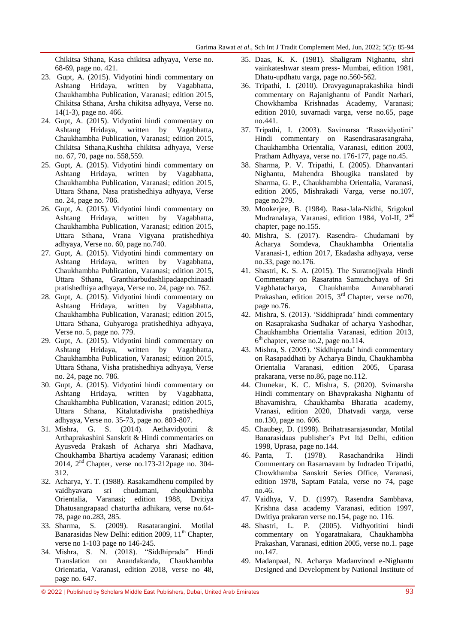Chikitsa Sthana, Kasa chikitsa adhyaya, Verse no. 68-69, page no. 421.

- 23. Gupt, A. (2015). Vidyotini hindi commentary on Ashtang Hridaya, written by Vagabhatta, Chaukhambha Publication, Varanasi; edition 2015, Chikitsa Sthana, Arsha chikitsa adhyaya, Verse no. 14(1-3), page no. 466.
- 24. Gupt, A. (2015). Vidyotini hindi commentary on Ashtang Hridaya, written by Vagabhatta, Chaukhambha Publication, Varanasi; edition 2015, Chikitsa Sthana,Kushtha chikitsa adhyaya, Verse no. 67, 70, page no. 558,559.
- 25. Gupt, A. (2015). Vidyotini hindi commentary on Ashtang Hridaya, written by Vagabhatta, Chaukhambha Publication, Varanasi; edition 2015, Uttara Sthana, Nasa pratishedhiya adhyaya, Verse no. 24, page no. 706.
- 26. Gupt, A. (2015). Vidyotini hindi commentary on Ashtang Hridaya, written by Vagabhatta, Chaukhambha Publication, Varanasi; edition 2015, Uttara Sthana, Vrana Vigyana pratishedhiya adhyaya, Verse no. 60, page no.740.
- 27. Gupt, A. (2015). Vidyotini hindi commentary on Ashtang Hridaya, written by Vagabhatta, Chaukhambha Publication, Varanasi; edition 2015, Uttara Sthana, Granthiarbudashlipadaapchinaadi pratishedhiya adhyaya, Verse no. 24, page no. 762.
- 28. Gupt, A. (2015). Vidyotini hindi commentary on Ashtang Hridaya, written by Vagabhatta, Chaukhambha Publication, Varanasi; edition 2015, Uttara Sthana, Guhyaroga pratishedhiya adhyaya, Verse no. 5, page no. 779.
- 29. Gupt, A. (2015). Vidyotini hindi commentary on Ashtang Hridaya, written by Vagabhatta, Chaukhambha Publication, Varanasi; edition 2015, Uttara Sthana, Visha pratishedhiya adhyaya, Verse no. 24, page no. 786.
- 30. Gupt, A. (2015). Vidyotini hindi commentary on Ashtang Hridaya, written by Vagabhatta, Chaukhambha Publication, Varanasi; edition 2015, Uttara Sthana, Kitalutadivisha pratishedhiya adhyaya, Verse no. 35-73, page no. 803-807.
- 31. Mishra, G. S. (2014). Aethavidyotini & Arthaprakashini Sanskrit & Hindi commentaries on Ayusveda Prakash of Acharya shri Madhava, Choukhamba Bhartiya academy Varanasi; edition 2014, 2nd Chapter, verse no.173-212page no. 304- 312.
- 32. Acharya, Y. T. (1988). Rasakamdhenu compiled by vaidhyavara sri chudamani, choukhambha Orientalia, Varanasi; edition 1988, Dvitiya Dhatusangrapaad chaturtha adhikara, verse no.64- 78, page no.283, 285.
- 33. Sharma, S. (2009). Rasatarangini. Motilal Banarasidas New Delhi: edition 2009, 11<sup>th</sup> Chapter, verse no 1-103 page no 146-245.
- 34. Mishra, S. N. (2018). "Siddhiprada" Hindi Translation on Anandakanda, Chaukhambha Orientatia, Varanasi, edition 2018, verse no 48, page no. 647.
- 35. Daas, K. K. (1981). Shaligram Nighantu, shri vainkateshwar steam press- Mumbai, edition 1981, Dhatu-updhatu varga, page no.560-562.
- 36. Tripathi, I. (2010). Dravyagunaprakashika hindi commentary on Rajanighantu of Pandit Narhari, Chowkhamba Krishnadas Academy, Varanasi; edition 2010, suvarnadi varga, verse no.65, page no.441.
- 37. Tripathi, I. (2003). Savimarsa "Rasavidyotini" Hindi commentary on Rasendrasarasangraha, Chaukhambha Orientalia, Varanasi, edition 2003, Pratham Adhyaya, verse no. 176-177, page no.45.
- 38. Sharma, P. V. Tripathi, I. (2005). Dhanvantari Nighantu, Mahendra Bhougika translated by Sharma, G. P., Chaukhambha Orientalia, Varanasi, edition 2005, Mishrakadi Varga, verse no.107, page no.279.
- 39. Mookerjee, B. (1984). Rasa-Jala-Nidhi, Srigokul Mudranalaya, Varanasi, edition 1984, Vol-II, 2nd chapter, page no.155.
- 40. Mishra, S. (2017). Rasendra- Chudamani by Acharya Somdeva, Chaukhambha Orientalia Varanasi-1, edtion 2017, Ekadasha adhyaya, verse no.33, page no.176.
- 41. Shastri, K. S. A. (2015). The Suratnojjvala Hindi Commentary on Rasaratna Samuchchaya of Sri Vagbhatacharya, Chaukhamba Amarabharati Prakashan, edition 2015, 3rd Chapter, verse no70, page no.76.
- 42. Mishra, S. (2013). "Siddhiprada" hindi commentary on Rasaprakasha Sudhakar of acharya Yashodhar, Chaukhambha Orientalia Varanasi, edition 2013, 6 th chapter, verse no.2, page no.114.
- 43. Mishra, S. (2005). "Siddhiprada" hindi commentary on Rasapaddhati by Acharya Bindu, Chaukhambha Orientalia Varanasi, edition 2005, Uparasa prakarana, verse no.86, page no.112.
- 44. Chunekar, K. C. Mishra, S. (2020). Svimarsha Hindi commentary on Bhavprakasha Nighantu of Bhavamishra, Chaukhamba Bharatia academy, Vranasi, edition 2020, Dhatvadi varga, verse no.130, page no. 606.
- 45. Chaubey, D. (1998). Brihatrasarajasundar, Motilal Banarasidaas publisher"s Pvt ltd Delhi, edition 1998, Uprasa, page no.144.
- 46. Panta, T. (1978). Rasachandrika Hindi Commentary on Rasarnavam by Indradeo Tripathi, Chowkhamba Sanskrit Series Office, Varanasi, edition 1978, Saptam Patala, verse no 74, page no.46.
- 47. Vaidhya, V. D. (1997). Rasendra Sambhava, Krishna dasa academy Varanasi, edition 1997, Dwitiya prakaran verse no.154, page no. 116.
- 48. Shastri, L. P. (2005). Vidhyotitini hindi commentary on Yogaratnakara, Chaukhambha Prakashan, Varanasi, edition 2005, verse no.1. page no.147.
- 49. Madanpaal, N. Acharya Madanvinod e-Nighantu Designed and Development by National Institute of